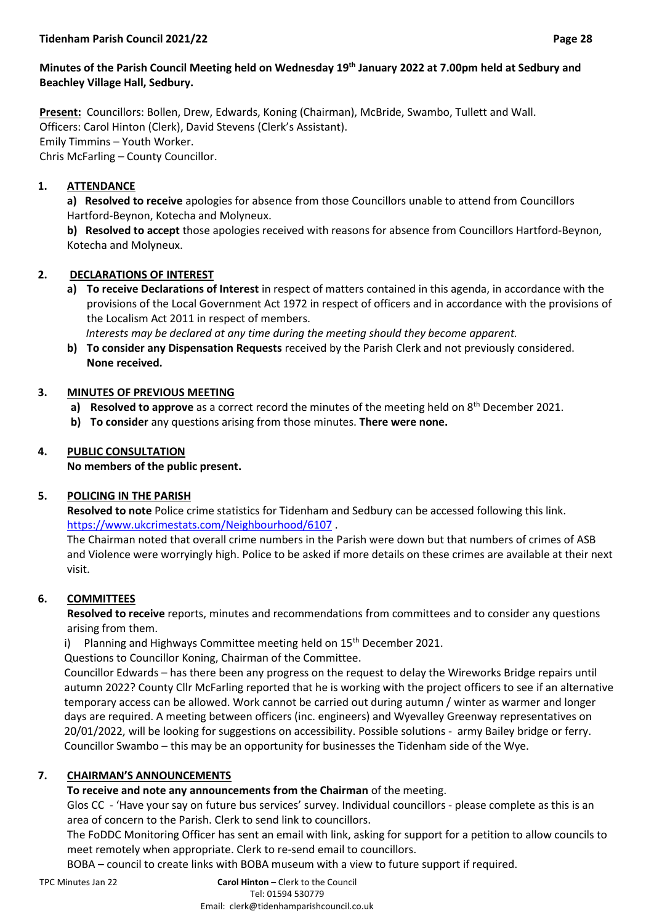# **Minutes of the Parish Council Meeting held on Wednesday 19th January 2022 at 7.00pm held at Sedbury and Beachley Village Hall, Sedbury.**

**Present:** Councillors: Bollen, Drew, Edwards, Koning (Chairman), McBride, Swambo, Tullett and Wall. Officers: Carol Hinton (Clerk), David Stevens (Clerk's Assistant). Emily Timmins – Youth Worker. Chris McFarling – County Councillor.

# **1. ATTENDANCE**

**a) Resolved to receive** apologies for absence from those Councillors unable to attend from Councillors Hartford-Beynon, Kotecha and Molyneux.

**b) Resolved to accept** those apologies received with reasons for absence from Councillors Hartford-Beynon, Kotecha and Molyneux.

# **2. DECLARATIONS OF INTEREST**

**a) To receive Declarations of Interest** in respect of matters contained in this agenda, in accordance with the provisions of the Local Government Act 1972 in respect of officers and in accordance with the provisions of the Localism Act 2011 in respect of members.

 *Interests may be declared at any time during the meeting should they become apparent.*

**b) To consider any Dispensation Requests** received by the Parish Clerk and not previously considered. **None received.**

# **3. MINUTES OF PREVIOUS MEETING**

- a) **Resolved to approve** as a correct record the minutes of the meeting held on 8<sup>th</sup> December 2021.
- **b) To consider** any questions arising from those minutes. **There were none.**

# **4. PUBLIC CONSULTATION**

**No members of the public present.**

# **5. POLICING IN THE PARISH**

**Resolved to note** Police crime statistics for Tidenham and Sedbury can be accessed following this link. <https://www.ukcrimestats.com/Neighbourhood/6107> .

The Chairman noted that overall crime numbers in the Parish were down but that numbers of crimes of ASB and Violence were worryingly high. Police to be asked if more details on these crimes are available at their next visit.

# **6. COMMITTEES**

**Resolved to receive** reports, minutes and recommendations from committees and to consider any questions arising from them.

i) Planning and Highways Committee meeting held on  $15<sup>th</sup>$  December 2021.

Questions to Councillor Koning, Chairman of the Committee.

Councillor Edwards – has there been any progress on the request to delay the Wireworks Bridge repairs until autumn 2022? County Cllr McFarling reported that he is working with the project officers to see if an alternative temporary access can be allowed. Work cannot be carried out during autumn / winter as warmer and longer days are required. A meeting between officers (inc. engineers) and Wyevalley Greenway representatives on 20/01/2022, will be looking for suggestions on accessibility. Possible solutions - army Bailey bridge or ferry. Councillor Swambo – this may be an opportunity for businesses the Tidenham side of the Wye.

# **7. CHAIRMAN'S ANNOUNCEMENTS**

# **To receive and note any announcements from the Chairman** of the meeting.

Glos CC - 'Have your say on future bus services' survey. Individual councillors - please complete as this is an area of concern to the Parish. Clerk to send link to councillors.

The FoDDC Monitoring Officer has sent an email with link, asking for support for a petition to allow councils to meet remotely when appropriate. Clerk to re-send email to councillors.

BOBA – council to create links with BOBA museum with a view to future support if required.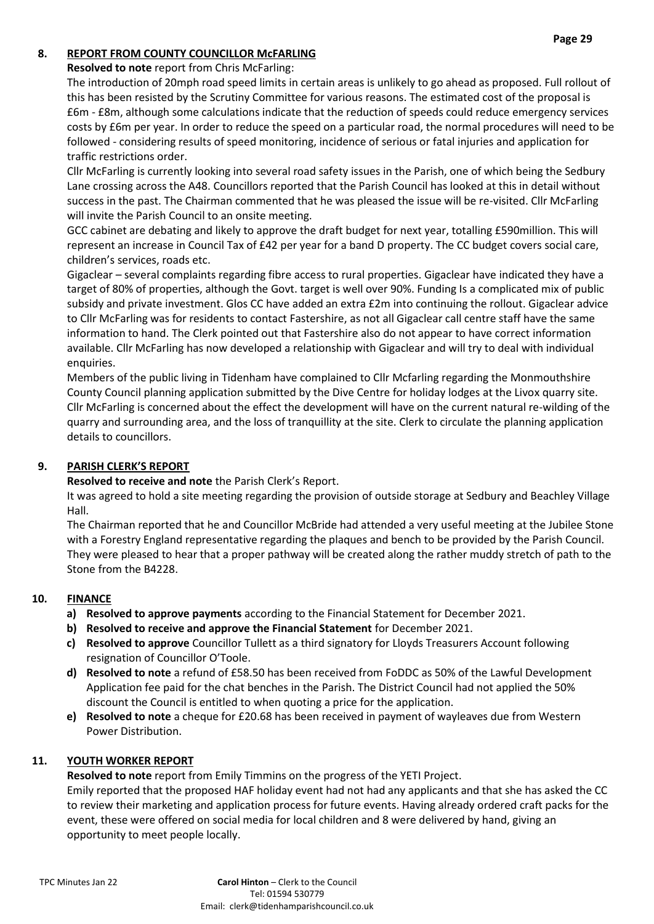# **8. REPORT FROM COUNTY COUNCILLOR McFARLING**

## **Resolved to note** report from Chris McFarling:

The introduction of 20mph road speed limits in certain areas is unlikely to go ahead as proposed. Full rollout of this has been resisted by the Scrutiny Committee for various reasons. The estimated cost of the proposal is £6m - £8m, although some calculations indicate that the reduction of speeds could reduce emergency services costs by £6m per year. In order to reduce the speed on a particular road, the normal procedures will need to be followed - considering results of speed monitoring, incidence of serious or fatal injuries and application for traffic restrictions order.

Cllr McFarling is currently looking into several road safety issues in the Parish, one of which being the Sedbury Lane crossing across the A48. Councillors reported that the Parish Council has looked at this in detail without success in the past. The Chairman commented that he was pleased the issue will be re-visited. Cllr McFarling will invite the Parish Council to an onsite meeting.

GCC cabinet are debating and likely to approve the draft budget for next year, totalling £590million. This will represent an increase in Council Tax of £42 per year for a band D property. The CC budget covers social care, children's services, roads etc.

Gigaclear – several complaints regarding fibre access to rural properties. Gigaclear have indicated they have a target of 80% of properties, although the Govt. target is well over 90%. Funding Is a complicated mix of public subsidy and private investment. Glos CC have added an extra £2m into continuing the rollout. Gigaclear advice to Cllr McFarling was for residents to contact Fastershire, as not all Gigaclear call centre staff have the same information to hand. The Clerk pointed out that Fastershire also do not appear to have correct information available. Cllr McFarling has now developed a relationship with Gigaclear and will try to deal with individual enquiries.

Members of the public living in Tidenham have complained to Cllr Mcfarling regarding the Monmouthshire County Council planning application submitted by the Dive Centre for holiday lodges at the Livox quarry site. Cllr McFarling is concerned about the effect the development will have on the current natural re-wilding of the quarry and surrounding area, and the loss of tranquillity at the site. Clerk to circulate the planning application details to councillors.

# **9. PARISH CLERK'S REPORT**

**Resolved to receive and note** the Parish Clerk's Report.

It was agreed to hold a site meeting regarding the provision of outside storage at Sedbury and Beachley Village Hall.

The Chairman reported that he and Councillor McBride had attended a very useful meeting at the Jubilee Stone with a Forestry England representative regarding the plaques and bench to be provided by the Parish Council. They were pleased to hear that a proper pathway will be created along the rather muddy stretch of path to the Stone from the B4228.

#### **10. FINANCE**

- **a) Resolved to approve payments** according to the Financial Statement for December 2021.
- **b) Resolved to receive and approve the Financial Statement** for December 2021.
- **c) Resolved to approve** Councillor Tullett as a third signatory for Lloyds Treasurers Account following resignation of Councillor O'Toole.
- **d) Resolved to note** a refund of £58.50 has been received from FoDDC as 50% of the Lawful Development Application fee paid for the chat benches in the Parish. The District Council had not applied the 50% discount the Council is entitled to when quoting a price for the application.
- **e) Resolved to note** a cheque for £20.68 has been received in payment of wayleaves due from Western Power Distribution.

#### **11. YOUTH WORKER REPORT**

**Resolved to note** report from Emily Timmins on the progress of the YETI Project.

Emily reported that the proposed HAF holiday event had not had any applicants and that she has asked the CC to review their marketing and application process for future events. Having already ordered craft packs for the event, these were offered on social media for local children and 8 were delivered by hand, giving an opportunity to meet people locally.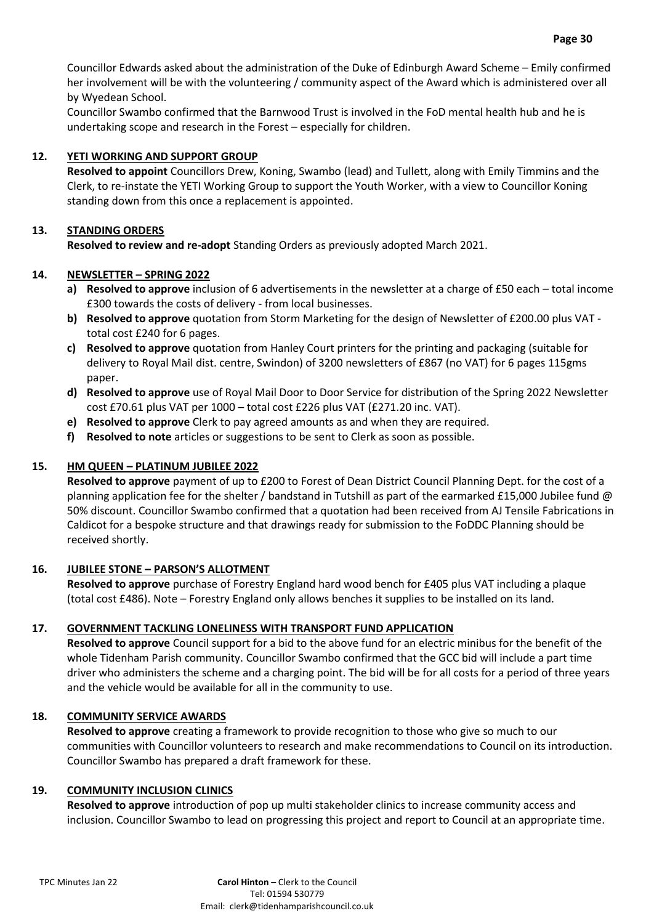Councillor Edwards asked about the administration of the Duke of Edinburgh Award Scheme – Emily confirmed her involvement will be with the volunteering / community aspect of the Award which is administered over all by Wyedean School.

Councillor Swambo confirmed that the Barnwood Trust is involved in the FoD mental health hub and he is undertaking scope and research in the Forest – especially for children.

## **12. YETI WORKING AND SUPPORT GROUP**

**Resolved to appoint** Councillors Drew, Koning, Swambo (lead) and Tullett, along with Emily Timmins and the Clerk, to re-instate the YETI Working Group to support the Youth Worker, with a view to Councillor Koning standing down from this once a replacement is appointed.

## **13. STANDING ORDERS**

**Resolved to review and re-adopt** Standing Orders as previously adopted March 2021.

## **14. NEWSLETTER – SPRING 2022**

- **a) Resolved to approve** inclusion of 6 advertisements in the newsletter at a charge of £50 each total income £300 towards the costs of delivery - from local businesses.
- **b) Resolved to approve** quotation from Storm Marketing for the design of Newsletter of £200.00 plus VAT total cost £240 for 6 pages.
- **c) Resolved to approve** quotation from Hanley Court printers for the printing and packaging (suitable for delivery to Royal Mail dist. centre, Swindon) of 3200 newsletters of £867 (no VAT) for 6 pages 115gms paper.
- **d) Resolved to approve** use of Royal Mail Door to Door Service for distribution of the Spring 2022 Newsletter cost £70.61 plus VAT per 1000 – total cost £226 plus VAT (£271.20 inc. VAT).
- **e) Resolved to approve** Clerk to pay agreed amounts as and when they are required.
- **f) Resolved to note** articles or suggestions to be sent to Clerk as soon as possible.

### **15. HM QUEEN – PLATINUM JUBILEE 2022**

**Resolved to approve** payment of up to £200 to Forest of Dean District Council Planning Dept. for the cost of a planning application fee for the shelter / bandstand in Tutshill as part of the earmarked £15,000 Jubilee fund @ 50% discount. Councillor Swambo confirmed that a quotation had been received from AJ Tensile Fabrications in Caldicot for a bespoke structure and that drawings ready for submission to the FoDDC Planning should be received shortly.

#### **16. JUBILEE STONE – PARSON'S ALLOTMENT**

**Resolved to approve** purchase of Forestry England hard wood bench for £405 plus VAT including a plaque (total cost £486). Note – Forestry England only allows benches it supplies to be installed on its land.

#### **17. GOVERNMENT TACKLING LONELINESS WITH TRANSPORT FUND APPLICATION**

**Resolved to approve** Council support for a bid to the above fund for an electric minibus for the benefit of the whole Tidenham Parish community. Councillor Swambo confirmed that the GCC bid will include a part time driver who administers the scheme and a charging point. The bid will be for all costs for a period of three years and the vehicle would be available for all in the community to use.

### **18. COMMUNITY SERVICE AWARDS**

**Resolved to approve** creating a framework to provide recognition to those who give so much to our communities with Councillor volunteers to research and make recommendations to Council on its introduction. Councillor Swambo has prepared a draft framework for these.

#### **19. COMMUNITY INCLUSION CLINICS**

**Resolved to approve** introduction of pop up multi stakeholder clinics to increase community access and inclusion. Councillor Swambo to lead on progressing this project and report to Council at an appropriate time.